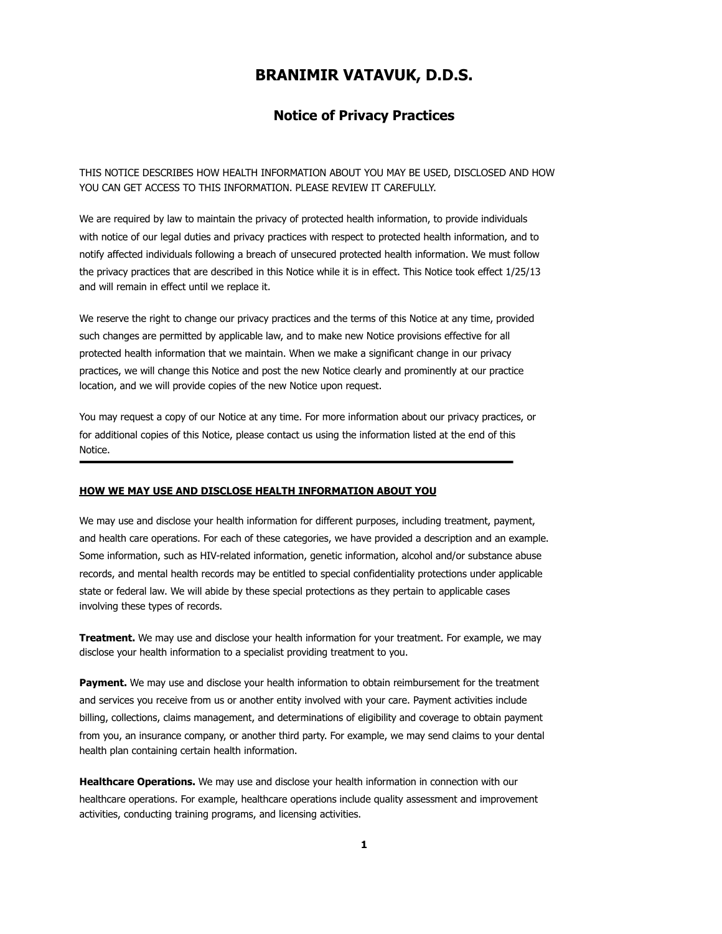# **BRANIMIR VATAVUK, D.D.S.**

# **Notice of Privacy Practices**

THIS NOTICE DESCRIBES HOW HEALTH INFORMATION ABOUT YOU MAY BE USED, DISCLOSED AND HOW YOU CAN GET ACCESS TO THIS INFORMATION. PLEASE REVIEW IT CAREFULLY.

We are required by law to maintain the privacy of protected health information, to provide individuals with notice of our legal duties and privacy practices with respect to protected health information, and to notify affected individuals following a breach of unsecured protected health information. We must follow the privacy practices that are described in this Notice while it is in effect. This Notice took effect 1/25/13 and will remain in effect until we replace it.

We reserve the right to change our privacy practices and the terms of this Notice at any time, provided such changes are permitted by applicable law, and to make new Notice provisions effective for all protected health information that we maintain. When we make a significant change in our privacy practices, we will change this Notice and post the new Notice clearly and prominently at our practice location, and we will provide copies of the new Notice upon request.

You may request a copy of our Notice at any time. For more information about our privacy practices, or for additional copies of this Notice, please contact us using the information listed at the end of this Notice.

#### **HOW WE MAY USE AND DISCLOSE HEALTH INFORMATION ABOUT YOU**

We may use and disclose your health information for different purposes, including treatment, payment, and health care operations. For each of these categories, we have provided a description and an example. Some information, such as HIV-related information, genetic information, alcohol and/or substance abuse records, and mental health records may be entitled to special confidentiality protections under applicable state or federal law. We will abide by these special protections as they pertain to applicable cases involving these types of records.

**Treatment.** We may use and disclose your health information for your treatment. For example, we may disclose your health information to a specialist providing treatment to you.

**Payment.** We may use and disclose your health information to obtain reimbursement for the treatment and services you receive from us or another entity involved with your care. Payment activities include billing, collections, claims management, and determinations of eligibility and coverage to obtain payment from you, an insurance company, or another third party. For example, we may send claims to your dental health plan containing certain health information.

**Healthcare Operations.** We may use and disclose your health information in connection with our healthcare operations. For example, healthcare operations include quality assessment and improvement activities, conducting training programs, and licensing activities.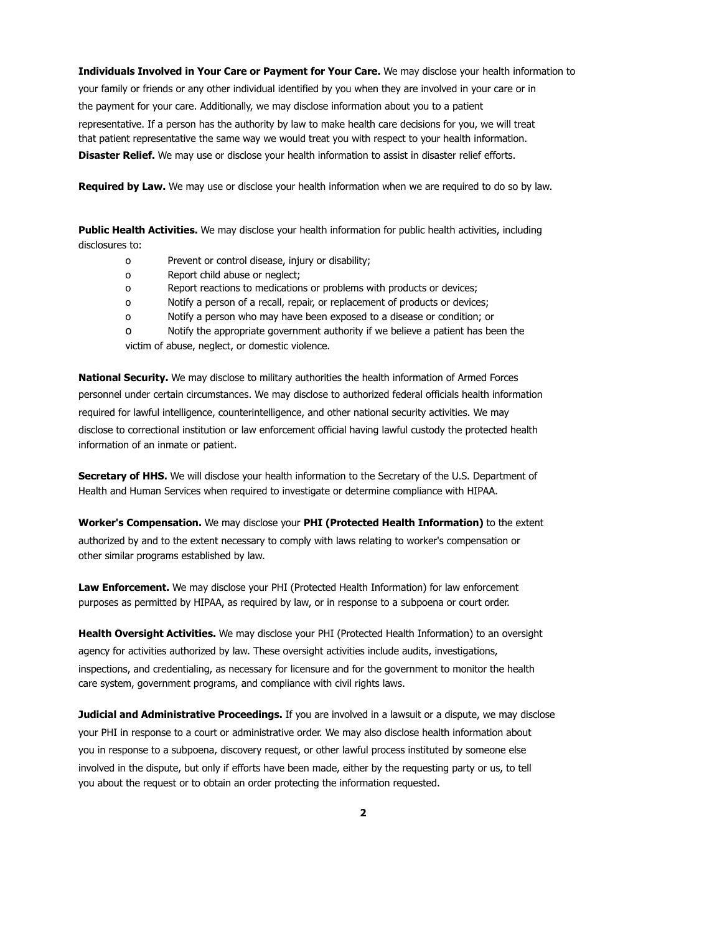**Individuals Involved in Your Care or Payment for Your Care.** We may disclose your health information to your family or friends or any other individual identified by you when they are involved in your care or in the payment for your care. Additionally, we may disclose information about you to a patient representative. If a person has the authority by law to make health care decisions for you, we will treat that patient representative the same way we would treat you with respect to your health information. **Disaster Relief.** We may use or disclose your health information to assist in disaster relief efforts.

**Required by Law.** We may use or disclose your health information when we are required to do so by law.

**Public Health Activities.** We may disclose your health information for public health activities, including disclosures to:

- o Prevent or control disease, injury or disability;
- o Report child abuse or neglect;
- o Report reactions to medications or problems with products or devices;
- o Notify a person of a recall, repair, or replacement of products or devices;
- o Notify a person who may have been exposed to a disease or condition; or

o Notify the appropriate government authority if we believe a patient has been the victim of abuse, neglect, or domestic violence.

**National Security.** We may disclose to military authorities the health information of Armed Forces personnel under certain circumstances. We may disclose to authorized federal officials health information required for lawful intelligence, counterintelligence, and other national security activities. We may disclose to correctional institution or law enforcement official having lawful custody the protected health information of an inmate or patient.

**Secretary of HHS.** We will disclose your health information to the Secretary of the U.S. Department of Health and Human Services when required to investigate or determine compliance with HIPAA.

**Worker's Compensation.** We may disclose your **PHI (Protected Health Information)** to the extent authorized by and to the extent necessary to comply with laws relating to worker's compensation or other similar programs established by law.

**Law Enforcement.** We may disclose your PHI (Protected Health Information) for law enforcement purposes as permitted by HIPAA, as required by law, or in response to a subpoena or court order.

**Health Oversight Activities.** We may disclose your PHI (Protected Health Information) to an oversight agency for activities authorized by law. These oversight activities include audits, investigations, inspections, and credentialing, as necessary for licensure and for the government to monitor the health care system, government programs, and compliance with civil rights laws.

**Judicial and Administrative Proceedings.** If you are involved in a lawsuit or a dispute, we may disclose your PHI in response to a court or administrative order. We may also disclose health information about you in response to a subpoena, discovery request, or other lawful process instituted by someone else involved in the dispute, but only if efforts have been made, either by the requesting party or us, to tell you about the request or to obtain an order protecting the information requested.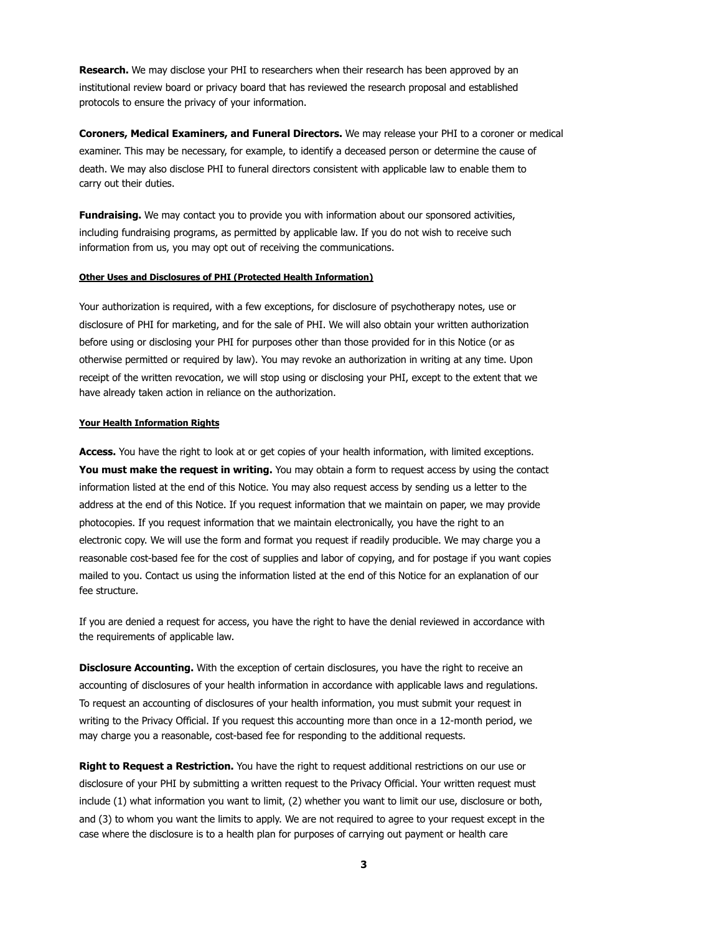**Research.** We may disclose your PHI to researchers when their research has been approved by an institutional review board or privacy board that has reviewed the research proposal and established protocols to ensure the privacy of your information.

**Coroners, Medical Examiners, and Funeral Directors.** We may release your PHI to a coroner or medical examiner. This may be necessary, for example, to identify a deceased person or determine the cause of death. We may also disclose PHI to funeral directors consistent with applicable law to enable them to carry out their duties.

Fundraising. We may contact you to provide you with information about our sponsored activities, including fundraising programs, as permitted by applicable law. If you do not wish to receive such information from us, you may opt out of receiving the communications.

### **Other Uses and Disclosures of PHI (Protected Health Information)**

Your authorization is required, with a few exceptions, for disclosure of psychotherapy notes, use or disclosure of PHI for marketing, and for the sale of PHI. We will also obtain your written authorization before using or disclosing your PHI for purposes other than those provided for in this Notice (or as otherwise permitted or required by law). You may revoke an authorization in writing at any time. Upon receipt of the written revocation, we will stop using or disclosing your PHI, except to the extent that we have already taken action in reliance on the authorization.

#### **Your Health Information Rights**

**Access.** You have the right to look at or get copies of your health information, with limited exceptions. **You must make the request in writing.** You may obtain a form to request access by using the contact information listed at the end of this Notice. You may also request access by sending us a letter to the address at the end of this Notice. If you request information that we maintain on paper, we may provide photocopies. If you request information that we maintain electronically, you have the right to an electronic copy. We will use the form and format you request if readily producible. We may charge you a reasonable cost-based fee for the cost of supplies and labor of copying, and for postage if you want copies mailed to you. Contact us using the information listed at the end of this Notice for an explanation of our fee structure.

If you are denied a request for access, you have the right to have the denial reviewed in accordance with the requirements of applicable law.

**Disclosure Accounting.** With the exception of certain disclosures, you have the right to receive an accounting of disclosures of your health information in accordance with applicable laws and regulations. To request an accounting of disclosures of your health information, you must submit your request in writing to the Privacy Official. If you request this accounting more than once in a 12-month period, we may charge you a reasonable, cost-based fee for responding to the additional requests.

**Right to Request a Restriction.** You have the right to request additional restrictions on our use or disclosure of your PHI by submitting a written request to the Privacy Official. Your written request must include (1) what information you want to limit, (2) whether you want to limit our use, disclosure or both, and (3) to whom you want the limits to apply. We are not required to agree to your request except in the case where the disclosure is to a health plan for purposes of carrying out payment or health care